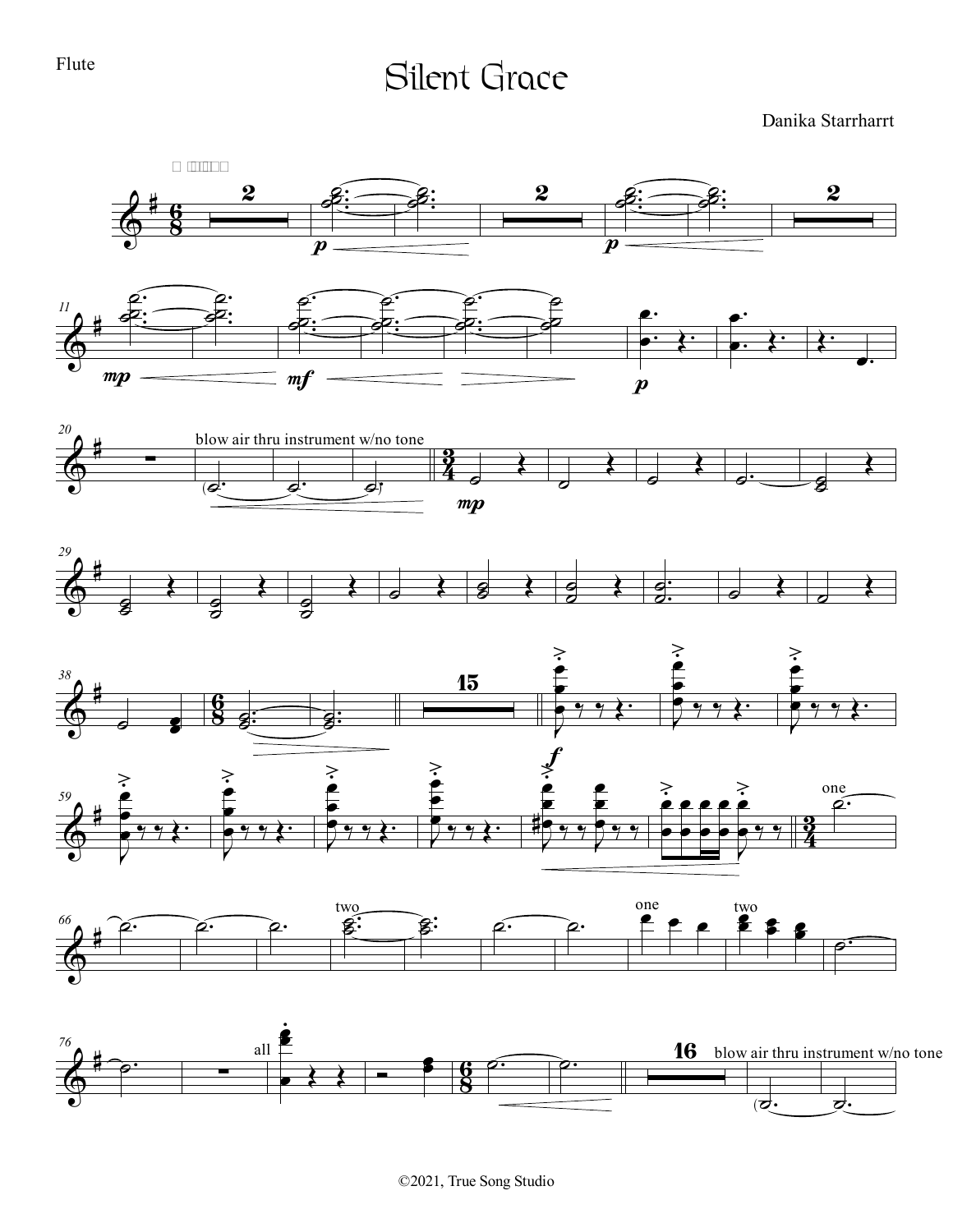## Flute

## Silent Grace

Danika Starrharrt